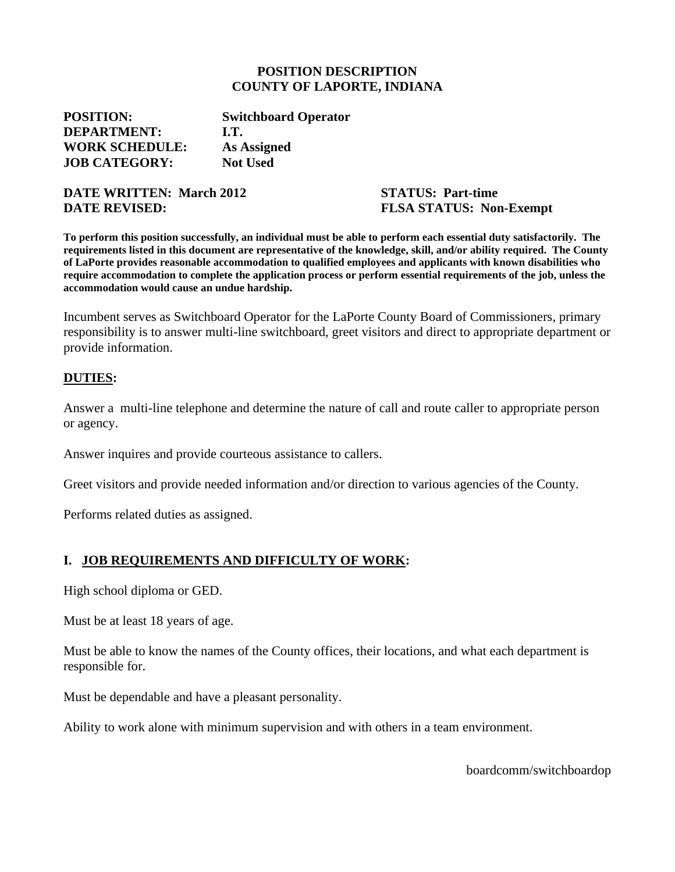#### **POSITION DESCRIPTION COUNTY OF LAPORTE, INDIANA**

**POSITION: Switchboard Operator DEPARTMENT: I.T. WORK SCHEDULE: As Assigned JOB CATEGORY: Not Used**

**DATE WRITTEN: March 2012 STATUS: Part-time DATE REVISED:** FLSA STATUS: Non-Exempt

**To perform this position successfully, an individual must be able to perform each essential duty satisfactorily. The requirements listed in this document are representative of the knowledge, skill, and/or ability required. The County of LaPorte provides reasonable accommodation to qualified employees and applicants with known disabilities who require accommodation to complete the application process or perform essential requirements of the job, unless the accommodation would cause an undue hardship.**

Incumbent serves as Switchboard Operator for the LaPorte County Board of Commissioners, primary responsibility is to answer multi-line switchboard, greet visitors and direct to appropriate department or provide information.

#### **DUTIES:**

Answer a multi-line telephone and determine the nature of call and route caller to appropriate person or agency.

Answer inquires and provide courteous assistance to callers.

Greet visitors and provide needed information and/or direction to various agencies of the County.

Performs related duties as assigned.

### **I. JOB REQUIREMENTS AND DIFFICULTY OF WORK:**

High school diploma or GED.

Must be at least 18 years of age.

Must be able to know the names of the County offices, their locations, and what each department is responsible for.

Must be dependable and have a pleasant personality.

Ability to work alone with minimum supervision and with others in a team environment.

boardcomm/switchboardop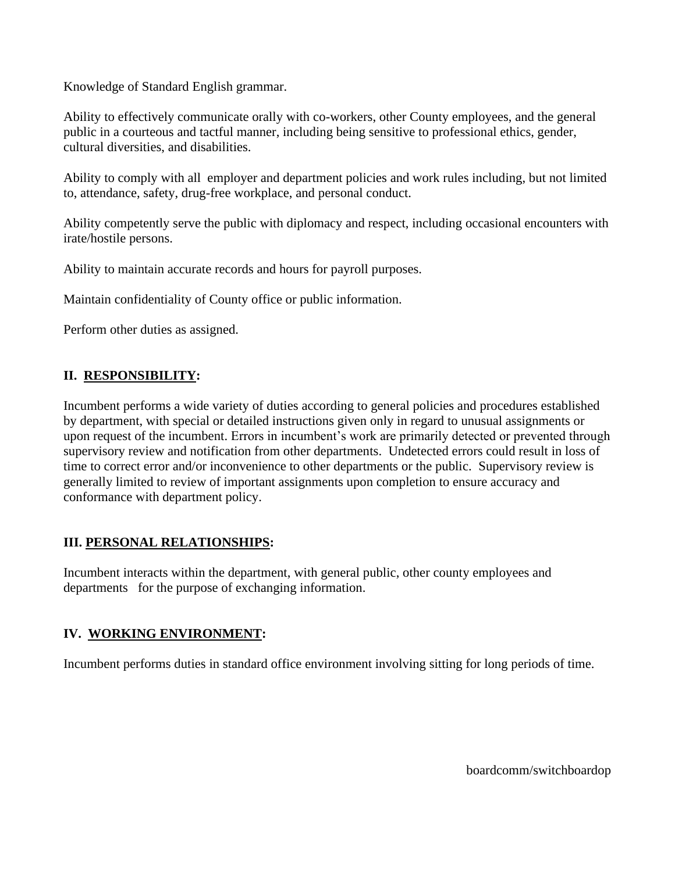Knowledge of Standard English grammar.

Ability to effectively communicate orally with co-workers, other County employees, and the general public in a courteous and tactful manner, including being sensitive to professional ethics, gender, cultural diversities, and disabilities.

Ability to comply with all employer and department policies and work rules including, but not limited to, attendance, safety, drug-free workplace, and personal conduct.

Ability competently serve the public with diplomacy and respect, including occasional encounters with irate/hostile persons.

Ability to maintain accurate records and hours for payroll purposes.

Maintain confidentiality of County office or public information.

Perform other duties as assigned.

# **II. RESPONSIBILITY:**

Incumbent performs a wide variety of duties according to general policies and procedures established by department, with special or detailed instructions given only in regard to unusual assignments or upon request of the incumbent. Errors in incumbent's work are primarily detected or prevented through supervisory review and notification from other departments. Undetected errors could result in loss of time to correct error and/or inconvenience to other departments or the public. Supervisory review is generally limited to review of important assignments upon completion to ensure accuracy and conformance with department policy.

## **III. PERSONAL RELATIONSHIPS:**

Incumbent interacts within the department, with general public, other county employees and departments for the purpose of exchanging information.

## **IV. WORKING ENVIRONMENT:**

Incumbent performs duties in standard office environment involving sitting for long periods of time.

boardcomm/switchboardop